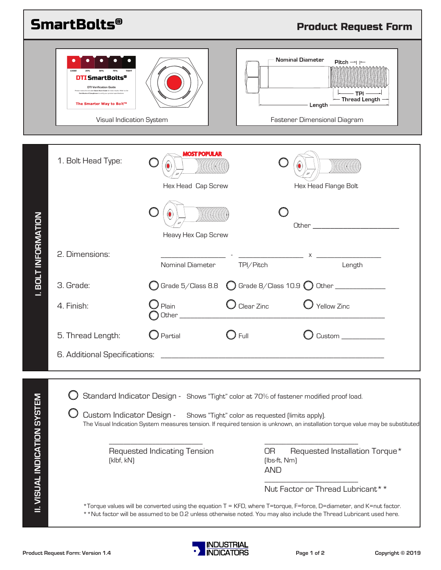|                                     | <b>SmartBolts®</b>                                                                                              |                                         |                                                                                                                                                                                                                                                                                                                                                            | <b>Product Request Form</b> |  |
|-------------------------------------|-----------------------------------------------------------------------------------------------------------------|-----------------------------------------|------------------------------------------------------------------------------------------------------------------------------------------------------------------------------------------------------------------------------------------------------------------------------------------------------------------------------------------------------------|-----------------------------|--|
|                                     | <b>DTI SmartBolts®</b><br><b>DTI Verification Guide</b><br>The Smarter Way to Bolt™<br>Visual Indication System |                                         | Nominal Diameter<br>Pitch $\rightarrow$ $\leftarrow$<br>TPI<br>— Thread Length -<br>Length $-$<br>Fastener Dimensional Diagram                                                                                                                                                                                                                             |                             |  |
| <b>I. BOLT INFORMATION</b>          | 1. Bolt Head Type:                                                                                              | Hex Head Cap Screw                      | Hex Head Flange Bolt                                                                                                                                                                                                                                                                                                                                       |                             |  |
|                                     | 2. Dimensions:<br>3. Grade:                                                                                     | Heavy Hex Cap Screw<br>Nominal Diameter | $\mathsf{X}$ and $\mathsf{X}$ and $\mathsf{X}$ and $\mathsf{X}$ and $\mathsf{X}$ are the set of $\mathsf{X}$<br>TPI/Pitch<br>Length                                                                                                                                                                                                                        |                             |  |
|                                     | 4. Finish:                                                                                                      | Plain<br>Other_                         | $\bm{\mathcal{G}}$ Clear Zinc<br>Yellow Zinc                                                                                                                                                                                                                                                                                                               |                             |  |
|                                     | 5. Thread Length:<br>6. Additional Specifications:                                                              | $\bigcup$ Partial                       | $\bigcirc$ Full<br>$C$ ustom $\_$                                                                                                                                                                                                                                                                                                                          |                             |  |
| <b>II. VISUAL INDICATION SYSTEM</b> | Custom Indicator Design -<br>[klbf, kN]                                                                         | Requested Indicating Tension            | Standard Indicator Design - Shows "Tight" color at 70% of fastener modified proof load.<br>Shows "Tight" color as requested (limits apply).<br>The Visual Indication System measures tension. If required tension is unknown, an installation torque value may be substituted<br><b>OR</b><br>Requested Installation Torque*<br>[lbs-ft, Nm]<br><b>AND</b> |                             |  |
|                                     |                                                                                                                 |                                         | Nut Factor or Thread Lubricant**<br>*Torque values will be converted using the equation T = KFD, where T=torque, F=force, D=diameter, and K=nut factor.<br>** Nut factor will be assumed to be 0.2 unless otherwise noted. You may also include the Thread Lubricant used here.                                                                            |                             |  |